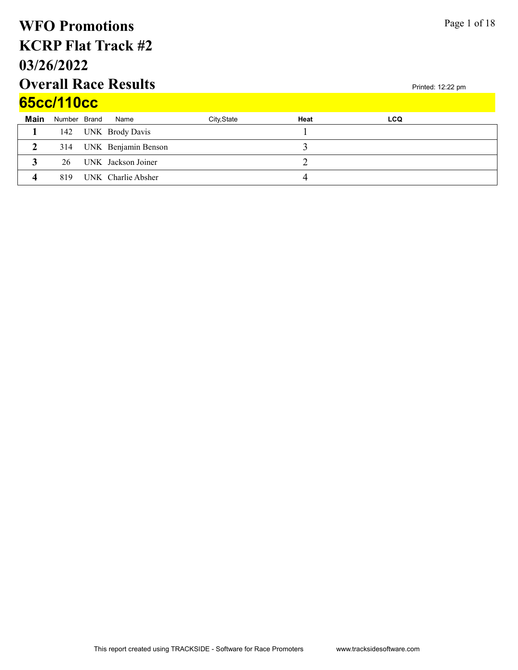## Overall Race Results 03/26/2022 KCRP Flat Track #2 WFO Promotions 65cc/110cc

| <b>65CC/11UCC</b> |              |  |                         |             |      |            |  |  |
|-------------------|--------------|--|-------------------------|-------------|------|------------|--|--|
| Main              | Number Brand |  | Name                    | City, State | Heat | <b>LCQ</b> |  |  |
|                   |              |  | 142 UNK Brody Davis     |             |      |            |  |  |
| $\mathbf{2}$      |              |  | 314 UNK Benjamin Benson |             |      |            |  |  |
|                   | 26           |  | UNK Jackson Joiner      |             |      |            |  |  |
|                   | 819          |  | UNK Charlie Absher      |             |      |            |  |  |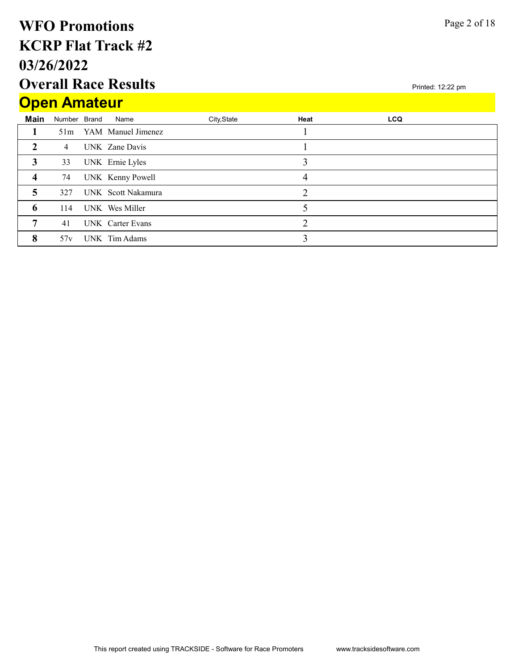## Overall Race Results 03/26/2022 KCRP Flat Track #2 WFO Promotions Open Amateur

|                | <u>Upen Anialeur</u> |  |                        |             |      |            |  |  |  |  |  |
|----------------|----------------------|--|------------------------|-------------|------|------------|--|--|--|--|--|
| Main           | Number Brand         |  | Name                   | City, State | Heat | <b>LCQ</b> |  |  |  |  |  |
|                |                      |  | 51m YAM Manuel Jimenez |             |      |            |  |  |  |  |  |
| $\mathcal{D}$  | $\overline{4}$       |  | UNK Zane Davis         |             |      |            |  |  |  |  |  |
| 3              | 33                   |  | UNK Ernie Lyles        |             | 3    |            |  |  |  |  |  |
| $\overline{4}$ | 74                   |  | UNK Kenny Powell       |             | 4    |            |  |  |  |  |  |
| 5              | 327                  |  | UNK Scott Nakamura     |             | ↑    |            |  |  |  |  |  |
| 6              | 114                  |  | UNK Wes Miller         |             |      |            |  |  |  |  |  |
| 7              | 41                   |  | UNK Carter Evans       |             | ↑    |            |  |  |  |  |  |
| 8              | 57v                  |  | UNK Tim Adams          |             | 3    |            |  |  |  |  |  |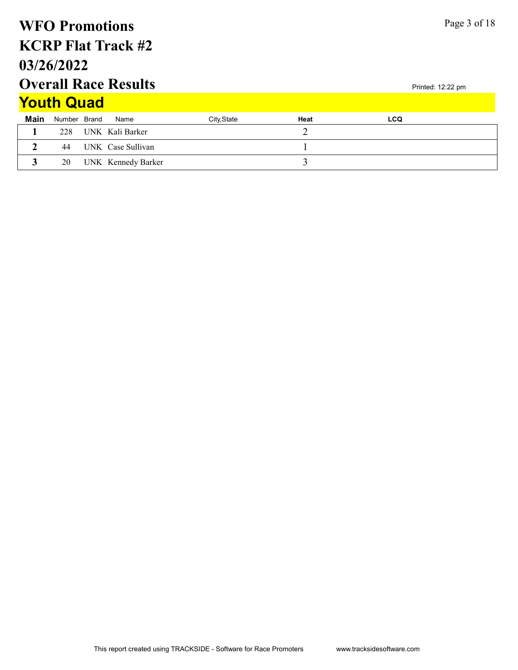### Printed: 12:22 pm Page 3 of 18 Overall Race Results 03/26/2022 KCRP Flat Track #2 WFO Promotions **Main** Number Brand Name **City,State** City,State **Heat Heat LCQ Youth Quad** 1 228 UNK Kali Barker 2 2 44 UNK Case Sullivan 1 3 20 UNK Kennedy Barker 3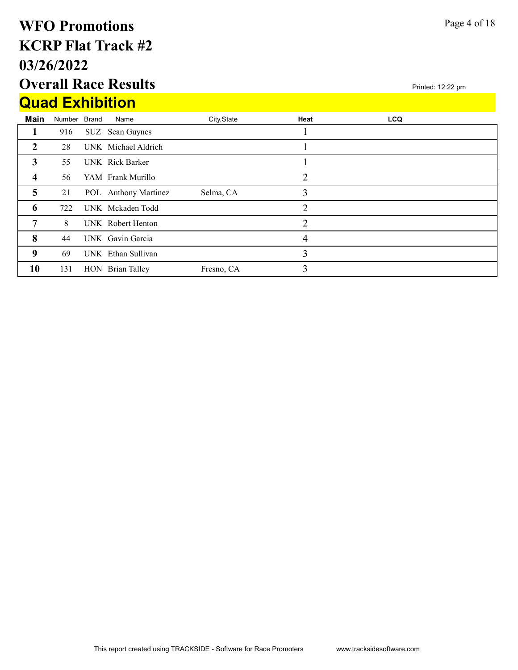## Overall Race Results 03/26/2022 KCRP Flat Track #2 WFO Promotions Quad Exhibition

|                         |              | <u>WUAU EXIIIDILIUII</u> |             |      |            |  |
|-------------------------|--------------|--------------------------|-------------|------|------------|--|
| Main                    | Number Brand | Name                     | City, State | Heat | <b>LCQ</b> |  |
| 1                       | 916          | SUZ Sean Guynes          |             |      |            |  |
| 2                       | 28           | UNK Michael Aldrich      |             |      |            |  |
| 3                       | 55           | UNK Rick Barker          |             |      |            |  |
| $\overline{\mathbf{4}}$ | 56           | YAM Frank Murillo        |             | 2    |            |  |
| $\overline{5}$          | 21           | POL Anthony Martinez     | Selma, CA   | 3    |            |  |
| 6                       | 722          | UNK Mckaden Todd         |             | 2    |            |  |
| 7                       | 8            | UNK Robert Henton        |             | 2    |            |  |
| 8                       | 44           | UNK Gavin Garcia         |             | 4    |            |  |
| 9                       | 69           | UNK Ethan Sullivan       |             | 3    |            |  |
| 10                      | 131          | HON Brian Talley         | Fresno, CA  | 3    |            |  |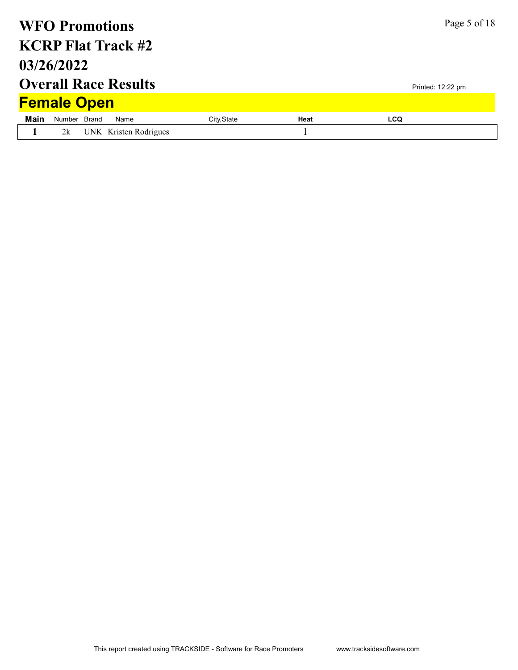|             | <b>WFO Promotions</b> |                             |             |      |            | Page 5 of 18      |
|-------------|-----------------------|-----------------------------|-------------|------|------------|-------------------|
|             |                       | <b>KCRP Flat Track #2</b>   |             |      |            |                   |
|             | 03/26/2022            |                             |             |      |            |                   |
|             |                       | <b>Overall Race Results</b> |             |      |            | Printed: 12:22 pm |
|             | <b>Female Open</b>    |                             |             |      |            |                   |
| <b>Main</b> | Number Brand          | Name                        | City, State | Heat | <b>LCQ</b> |                   |
|             | 2k                    | UNK Kristen Rodrigues       |             |      |            |                   |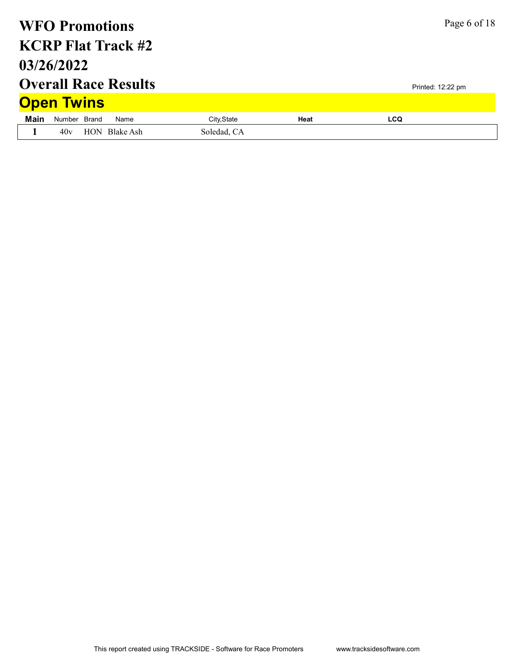| <b>WFO Promotions</b> |              |                             |             | Page 6 of 18 |                   |  |
|-----------------------|--------------|-----------------------------|-------------|--------------|-------------------|--|
|                       |              | <b>KCRP Flat Track #2</b>   |             |              |                   |  |
| 03/26/2022            |              |                             |             |              |                   |  |
|                       |              | <b>Overall Race Results</b> |             |              | Printed: 12:22 pm |  |
| <b>Open Twins</b>     |              |                             |             |              |                   |  |
| Main                  | Number Brand | Name                        | City, State | Heat         | <b>LCQ</b>        |  |
|                       | 40v          | HON Blake Ash               | Soledad, CA |              |                   |  |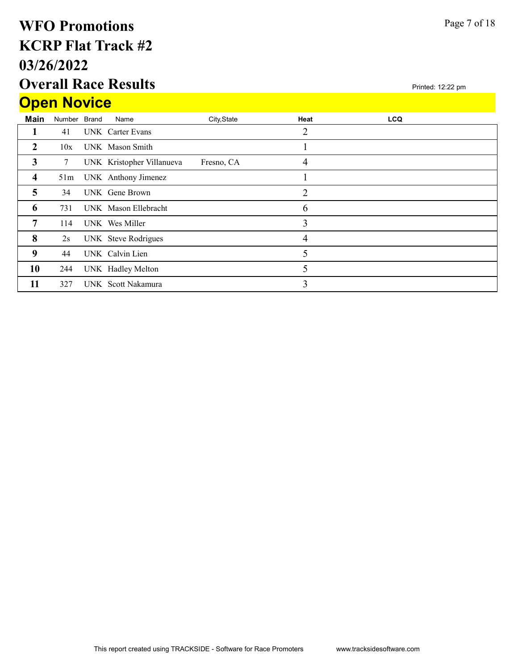## Overall Race Results 03/26/2022 KCRP Flat Track #2 WFO Promotions **Open Novice**

|                         |              | <b>Overall Race Results</b> |             |                | Printed: 12:22 pm |  |
|-------------------------|--------------|-----------------------------|-------------|----------------|-------------------|--|
| <b>Open Novice</b>      |              |                             |             |                |                   |  |
| Main                    | Number Brand | Name                        | City, State | Heat           | <b>LCQ</b>        |  |
| п                       | 41           | UNK Carter Evans            |             | 2              |                   |  |
| $\overline{2}$          | 10x          | UNK Mason Smith             |             | ı              |                   |  |
| $\mathbf{3}$            | 7            | UNK Kristopher Villanueva   | Fresno, CA  | 4              |                   |  |
| $\overline{\mathbf{4}}$ | 51m          | UNK Anthony Jimenez         |             |                |                   |  |
| 5                       | 34           | UNK Gene Brown              |             | $\overline{2}$ |                   |  |
| 6                       | 731          | UNK Mason Ellebracht        |             | 6              |                   |  |
| 7                       | 114          | UNK Wes Miller              |             | 3              |                   |  |
| 8                       | 2s           | UNK Steve Rodrigues         |             | $\overline{4}$ |                   |  |
| 9                       | 44           | UNK Calvin Lien             |             | 5              |                   |  |
| 10                      | 244          | UNK Hadley Melton           |             | 5              |                   |  |
| 11                      | 327          | UNK Scott Nakamura          |             | 3              |                   |  |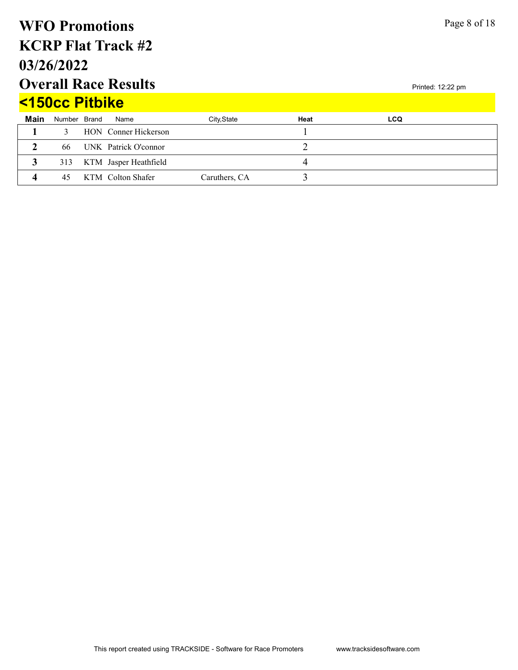### Printed: 12:22 pm Page 8 of 18 Overall Race Results 03/26/2022 KCRP Flat Track #2 WFO Promotions **Main** Number Brand Name **City,State** City,State **Heat Heat LCQ** <150cc Pitbike 1 3 HON Conner Hickerson 1 2 66 UNK Patrick O'connor 2 3 313 KTM Jasper Heathfield 4 4 45 KTM Colton Shafer Caruthers, CA 3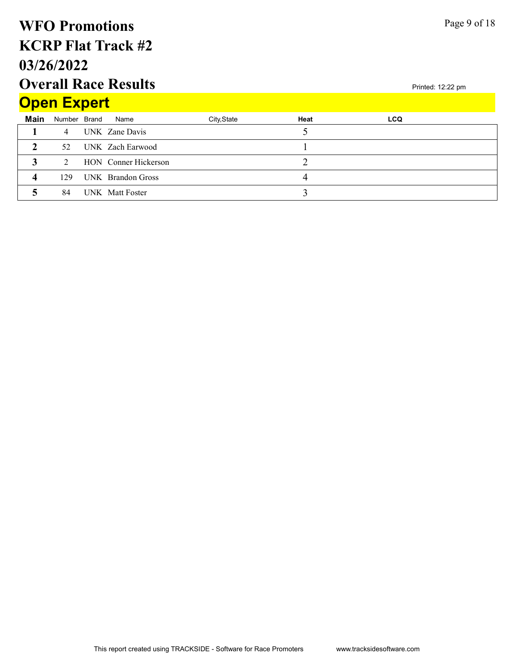## Overall Race Results 03/26/2022 KCRP Flat Track #2 WFO Promotions **Open Expert**

|      | <b>Open Expert</b> |  |                      |             |      |            |  |  |  |  |
|------|--------------------|--|----------------------|-------------|------|------------|--|--|--|--|
| Main | Number Brand       |  | Name                 | City, State | Heat | <b>LCQ</b> |  |  |  |  |
|      | $\overline{4}$     |  | UNK Zane Davis       |             |      |            |  |  |  |  |
|      | 52                 |  | UNK Zach Earwood     |             |      |            |  |  |  |  |
|      | $\mathcal{D}$      |  | HON Conner Hickerson |             |      |            |  |  |  |  |
| Δ    | 129                |  | UNK Brandon Gross    |             |      |            |  |  |  |  |
|      | 84                 |  | UNK Matt Foster      |             |      |            |  |  |  |  |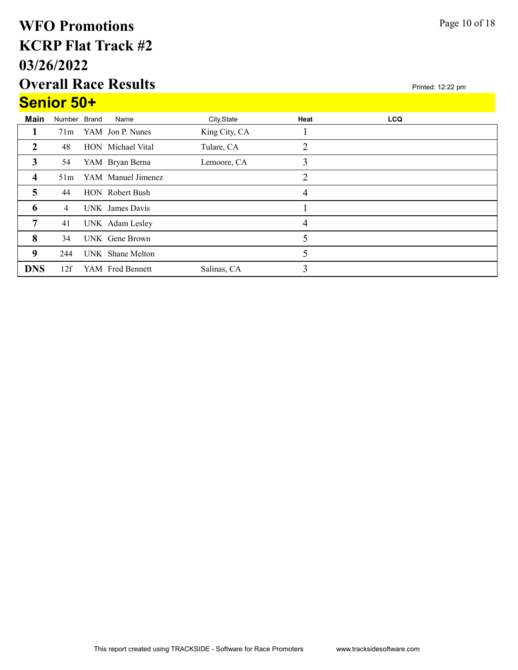## Overall Race Results 03/26/2022 KCRP Flat Track #2 WFO Promotions Senior 50+

| <b>Senior Su+</b>       |              |                        |               |      |            |  |
|-------------------------|--------------|------------------------|---------------|------|------------|--|
| Main                    | Number Brand | Name                   | City, State   | Heat | <b>LCQ</b> |  |
|                         | 71m          | YAM Jon P. Nunes       | King City, CA |      |            |  |
| $\overline{2}$          | 48           | HON Michael Vital      | Tulare, CA    | 2    |            |  |
| 3                       | 54           | YAM Bryan Berna        | Lemoore, CA   | 3    |            |  |
| $\overline{\mathbf{4}}$ | 51m          | YAM Manuel Jimenez     |               | 2    |            |  |
| 5                       | 44           | <b>HON</b> Robert Bush |               | 4    |            |  |
| 6                       | 4            | UNK James Davis        |               |      |            |  |
| 7                       | 41           | UNK Adam Lesley        |               | 4    |            |  |
| 8                       | 34           | UNK Gene Brown         |               | 5    |            |  |
| 9                       | 244          | UNK Shane Melton       |               | 5    |            |  |
| <b>DNS</b>              | 12f          | YAM Fred Bennett       | Salinas, CA   | 3    |            |  |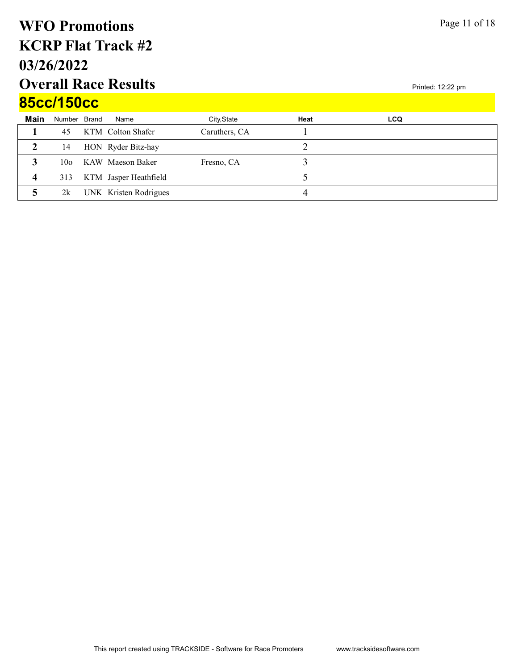## Overall Race Results 03/26/2022 KCRP Flat Track #2 WFO Promotions 85cc/150cc

|             | <u>UJUU LJUUU</u> |  |                       |               |      |            |  |  |  |  |
|-------------|-------------------|--|-----------------------|---------------|------|------------|--|--|--|--|
| <b>Main</b> | Number Brand      |  | Name                  | City, State   | Heat | <b>LCQ</b> |  |  |  |  |
|             | 45                |  | KTM Colton Shafer     | Caruthers, CA |      |            |  |  |  |  |
|             | 14                |  | HON Ryder Bitz-hay    |               |      |            |  |  |  |  |
|             | 10 <sub>o</sub>   |  | KAW Maeson Baker      | Fresno, CA    |      |            |  |  |  |  |
|             | 313               |  | KTM Jasper Heathfield |               |      |            |  |  |  |  |
|             | 2k                |  | UNK Kristen Rodrigues |               |      |            |  |  |  |  |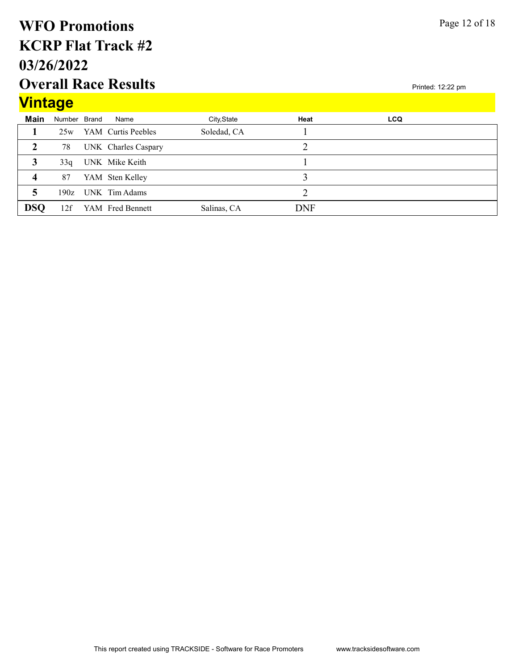## Overall Race Results 03/26/2022 KCRP Flat Track #2 WFO Promotions

## $\sqrt{2}$

Page 12 of 18

| <u>vintage</u>          |              |                     |             |            |            |  |
|-------------------------|--------------|---------------------|-------------|------------|------------|--|
| Main                    | Number Brand | Name                | City, State | Heat       | <b>LCQ</b> |  |
|                         | 25w          | YAM Curtis Peebles  | Soledad, CA |            |            |  |
|                         | 78           | UNK Charles Caspary |             |            |            |  |
| 3                       | 33q          | UNK Mike Keith      |             |            |            |  |
| $\overline{\mathbf{4}}$ | 87           | YAM Sten Kelley     |             |            |            |  |
| 5                       |              | 190z UNK Tim Adams  |             |            |            |  |
| <b>DSQ</b>              | 12f          | YAM Fred Bennett    | Salinas, CA | <b>DNF</b> |            |  |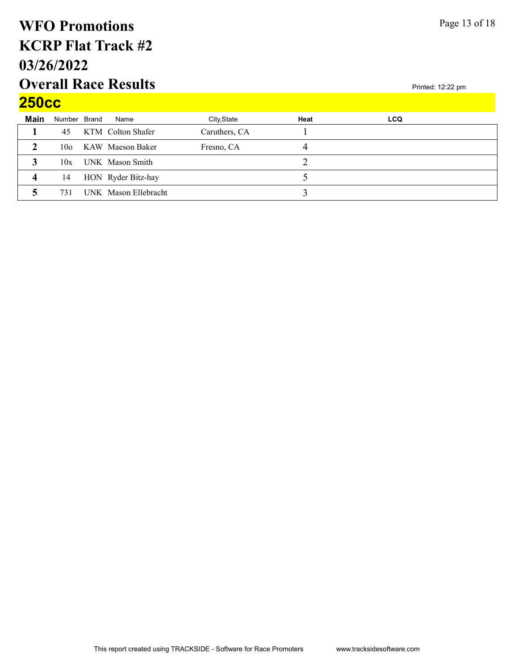### Overall Race Results 03/26/2022 KCRP Flat Track #2 WFO Promotions  $250cc$

| EUUUU       |                 |                      |               |      |            |  |
|-------------|-----------------|----------------------|---------------|------|------------|--|
| <b>Main</b> | Number Brand    | Name                 | City, State   | Heat | <b>LCQ</b> |  |
|             | 45              | KTM Colton Shafer    | Caruthers, CA |      |            |  |
| າ           | 10 <sub>o</sub> | KAW Maeson Baker     | Fresno, CA    | 4    |            |  |
|             | 10x             | UNK Mason Smith      |               |      |            |  |
| 4           | 14              | HON Ryder Bitz-hay   |               |      |            |  |
|             | 731             | UNK Mason Ellebracht |               |      |            |  |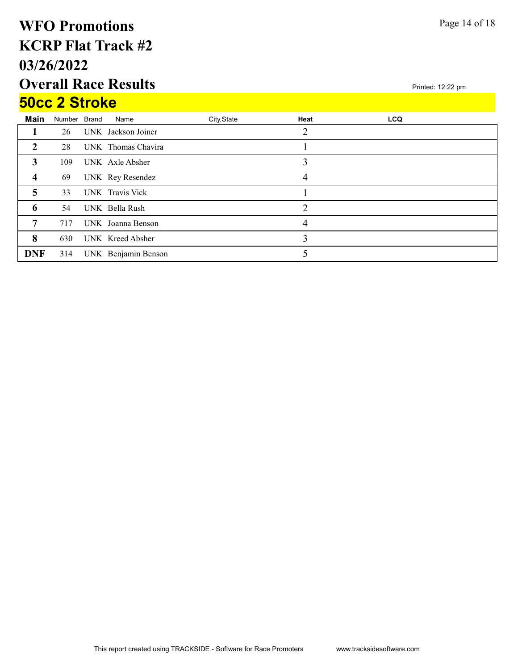## Overall Race Results 03/26/2022 KCRP Flat Track #2 WFO Promotions 50cc 2 Stroke

|            | <b>SUCC Z SILOKE</b> |  |                     |             |                |            |  |  |  |  |
|------------|----------------------|--|---------------------|-------------|----------------|------------|--|--|--|--|
| Main       | Number Brand         |  | Name                | City, State | Heat           | <b>LCQ</b> |  |  |  |  |
|            | 26                   |  | UNK Jackson Joiner  |             |                |            |  |  |  |  |
| 2          | 28                   |  | UNK Thomas Chavira  |             |                |            |  |  |  |  |
| 3          | 109                  |  | UNK Axle Absher     |             | 3              |            |  |  |  |  |
| 4          | 69                   |  | UNK Rey Resendez    |             | 4              |            |  |  |  |  |
| 5          | 33                   |  | UNK Travis Vick     |             |                |            |  |  |  |  |
| 6          | 54                   |  | UNK Bella Rush      |             | $\overline{2}$ |            |  |  |  |  |
| 7          | 717                  |  | UNK Joanna Benson   |             | 4              |            |  |  |  |  |
| 8          | 630                  |  | UNK Kreed Absher    |             | 3              |            |  |  |  |  |
| <b>DNF</b> | 314                  |  | UNK Benjamin Benson |             |                |            |  |  |  |  |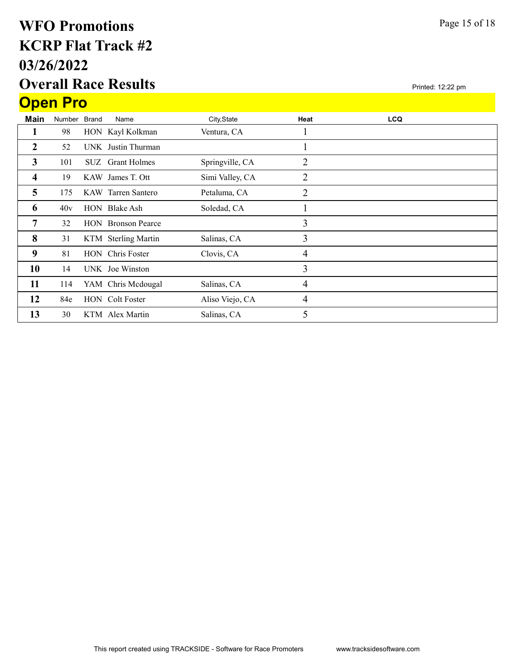## Overall Race Results 03/26/2022 KCRP Flat Track #2 WFO Promotions Open Pro

| Main           | Number Brand |  | Name                      | City, State     | Heat | <b>LCQ</b> |  |
|----------------|--------------|--|---------------------------|-----------------|------|------------|--|
|                | 98           |  | HON Kayl Kolkman          | Ventura, CA     |      |            |  |
| $\overline{2}$ | 52           |  | UNK Justin Thurman        |                 |      |            |  |
| 3              | 101          |  | SUZ Grant Holmes          | Springville, CA | 2    |            |  |
| 4              | 19           |  | KAW James T. Ott          | Simi Valley, CA | 2    |            |  |
| 5              | 175          |  | KAW Tarren Santero        | Petaluma, CA    | 2    |            |  |
| 6              | 40v          |  | HON Blake Ash             | Soledad, CA     |      |            |  |
| 7              | 32           |  | <b>HON</b> Bronson Pearce |                 | 3    |            |  |
| 8              | 31           |  | KTM Sterling Martin       | Salinas, CA     | 3    |            |  |
| 9              | 81           |  | HON Chris Foster          | Clovis, CA      | 4    |            |  |
| 10             | 14           |  | UNK Joe Winston           |                 | 3    |            |  |
| 11             | 114          |  | YAM Chris Mcdougal        | Salinas, CA     | 4    |            |  |
| 12             | 84e          |  | <b>HON</b> Colt Foster    | Aliso Viejo, CA | 4    |            |  |
| 13             | 30           |  | KTM Alex Martin           | Salinas, CA     | 5    |            |  |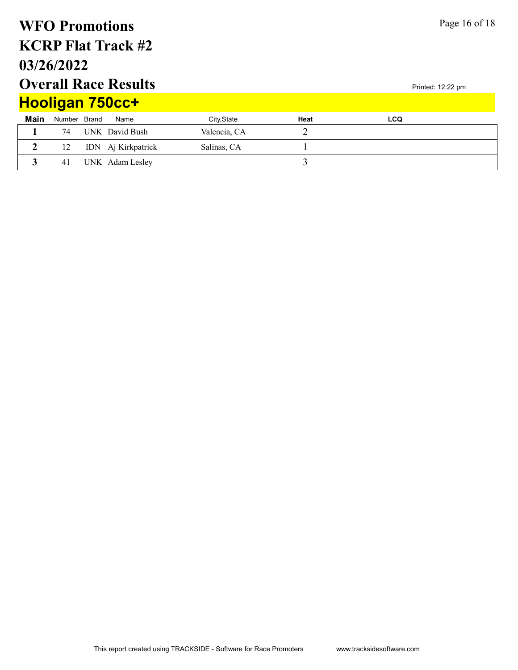### Printed: 12:22 pm Page 16 of 18 Overall Race Results 03/26/2022 KCRP Flat Track #2 WFO Promotions **Main** Number Brand Name **City,State** City,State **Heat Heat LCQ** Hooligan 750cc+ 1 74 UNK David Bush Valencia, CA 2 2 12 IDN Aj Kirkpatrick Salinas, CA 1 3 41 UNK Adam Lesley 3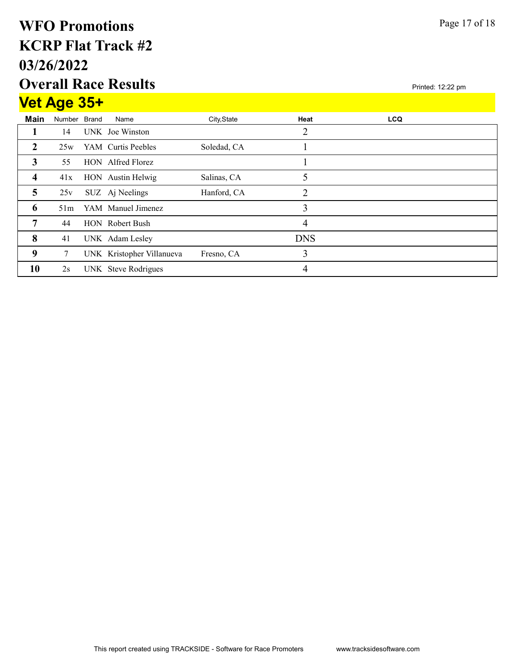## Overall Race Results 03/26/2022 KCRP Flat Track #2 WFO Promotions Vet Age 35+

|                | <u>vet Age 35+</u> |                           |             |                |            |  |
|----------------|--------------------|---------------------------|-------------|----------------|------------|--|
| Main           | Number Brand       | Name                      | City, State | Heat           | <b>LCQ</b> |  |
|                | 14                 | UNK Joe Winston           |             | $\overline{2}$ |            |  |
| $\overline{2}$ | 25w                | YAM Curtis Peebles        | Soledad, CA |                |            |  |
| 3              | 55                 | HON Alfred Florez         |             |                |            |  |
| $\overline{4}$ | 41x                | HON Austin Helwig         | Salinas, CA | 5              |            |  |
| 5              | 25v                | SUZ Aj Neelings           | Hanford, CA | $\overline{2}$ |            |  |
| 6              | 51m                | YAM Manuel Jimenez        |             | 3              |            |  |
| 7              | 44                 | HON Robert Bush           |             | 4              |            |  |
| 8              | 41                 | UNK Adam Lesley           |             | <b>DNS</b>     |            |  |
| 9              | 7                  | UNK Kristopher Villanueva | Fresno, CA  | 3              |            |  |
| 10             | 2s                 | UNK Steve Rodrigues       |             | 4              |            |  |